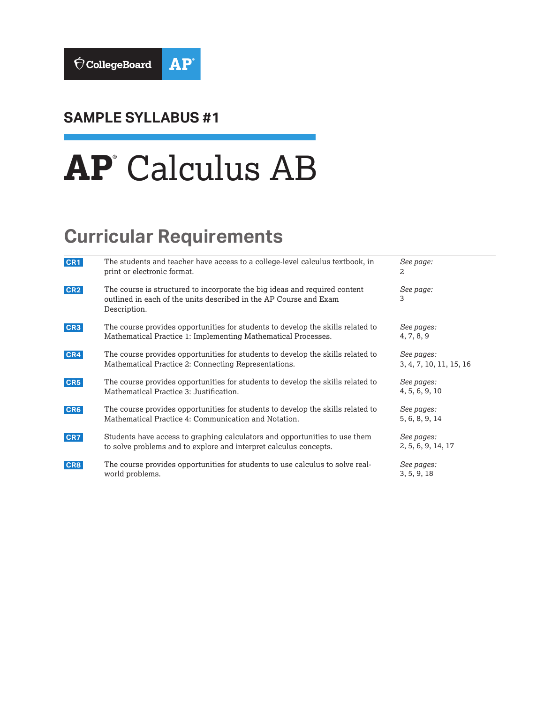

# **SAMPLE SYLLABUS #1**

# **AP**® Calculus AB

# **Curricular Requirements**

| CR1             | The students and teacher have access to a college-level calculus textbook, in<br>print or electronic format.                                                    | See page:<br>2                        |
|-----------------|-----------------------------------------------------------------------------------------------------------------------------------------------------------------|---------------------------------------|
| CR <sub>2</sub> | The course is structured to incorporate the big ideas and required content<br>outlined in each of the units described in the AP Course and Exam<br>Description. | See page:<br>3                        |
| CR <sub>3</sub> | The course provides opportunities for students to develop the skills related to<br>Mathematical Practice 1: Implementing Mathematical Processes.                | See pages:<br>4, 7, 8, 9              |
| CR4             | The course provides opportunities for students to develop the skills related to<br>Mathematical Practice 2: Connecting Representations.                         | See pages:<br>3, 4, 7, 10, 11, 15, 16 |
| CR5             | The course provides opportunities for students to develop the skills related to<br>Mathematical Practice 3: Justification.                                      | See pages:<br>4, 5, 6, 9, 10          |
| CR6             | The course provides opportunities for students to develop the skills related to<br>Mathematical Practice 4: Communication and Notation.                         | See pages:<br>5, 6, 8, 9, 14          |
| CR7             | Students have access to graphing calculators and opportunities to use them<br>to solve problems and to explore and interpret calculus concepts.                 | See pages:<br>2, 5, 6, 9, 14, 17      |
| CR8             | The course provides opportunities for students to use calculus to solve real-<br>world problems.                                                                | See pages:<br>3, 5, 9, 18             |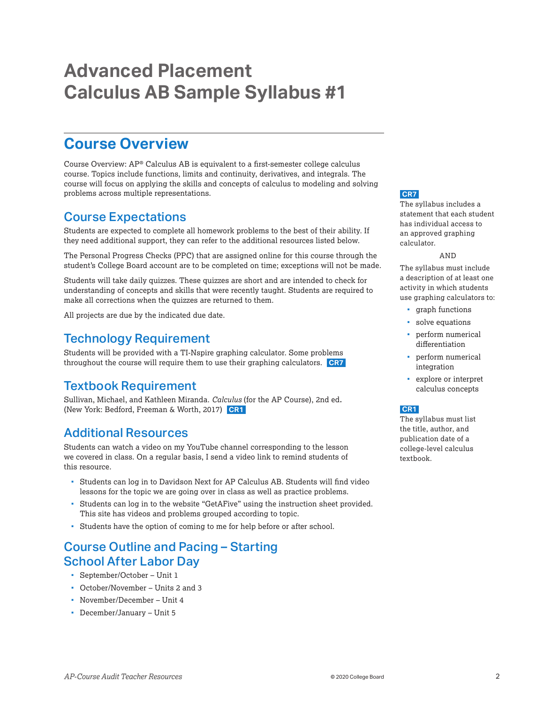# <span id="page-1-0"></span>**Advanced Placement Calculus AB Sample Syllabus #1**

# **Course Overview**

Course Overview: AP® Calculus AB is equivalent to a first-semester college calculus course. Topics include functions, limits and continuity, derivatives, and integrals. The course will focus on applying the skills and concepts of calculus to modeling and solving problems across multiple representations.

# Course Expectations

Students are expected to complete all homework problems to the best of their ability. If they need additional support, they can refer to the additional resources listed below.

The Personal Progress Checks (PPC) that are assigned online for this course through the student's College Board account are to be completed on time; exceptions will not be made.

Students will take daily quizzes. These quizzes are short and are intended to check for understanding of concepts and skills that were recently taught. Students are required to make all corrections when the quizzes are returned to them.

All projects are due by the indicated due date.

# Technology Requirement

Students will be provided with a TI-Nspire graphing calculator. Some problems throughout the course will require them to use their graphing calculators. **CR7**

# Textbook Requirement

Sullivan, Michael, and Kathleen Miranda. *Calculus* (for the AP Course), 2nd ed*.*  (New York: Bedford, Freeman & Worth, 2017) **CR1**

# Additional Resources

Students can watch a video on my YouTube channel corresponding to the lesson we covered in class. On a regular basis, I send a video link to remind students of this resource.

- Students can log in to Davidson Next for AP Calculus AB. Students will find video lessons for the topic we are going over in class as well as practice problems.
- Students can log in to the website "GetAFive" using the instruction sheet provided. This site has videos and problems grouped according to topic.
- Students have the option of coming to me for help before or after school.

# Course Outline and Pacing – Starting School After Labor Day

- September/October Unit 1
- October/November Units 2 and 3
- November/December Unit 4
- December/January Unit 5

#### **CR7**

The syllabus includes a statement that each student has individual access to an approved graphing calculator.

#### AND

The syllabus must include a description of at least one activity in which students use graphing calculators to:

- **qraph** functions
- solve equations
- perform numerical differentiation
- perform numerical integration
- explore or interpret calculus concepts

#### **CR1**

The syllabus must list the title, author, and publication date of a college-level calculus textbook.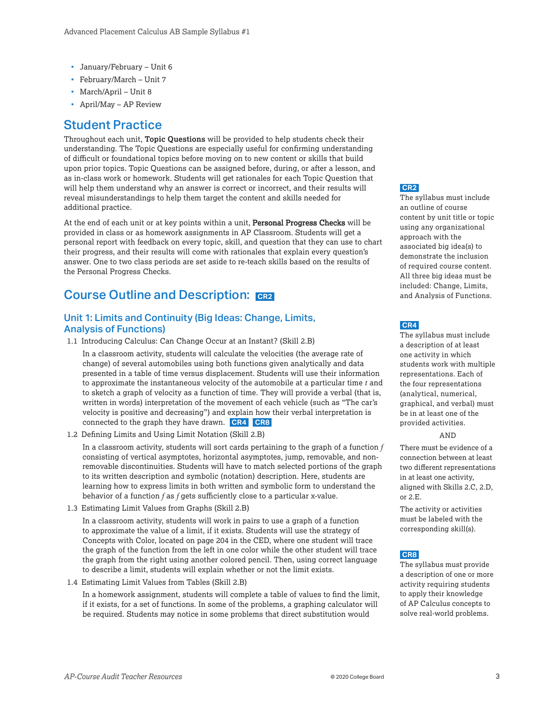- <span id="page-2-0"></span>January/February – Unit 6
- February/March Unit 7
- March/April Unit 8
- April/May AP Review

### Student Practice

Throughout each unit, **Topic Questions** will be provided to help students check their understanding. The Topic Questions are especially useful for confirming understanding of difficult or foundational topics before moving on to new content or skills that build upon prior topics. Topic Questions can be assigned before, during, or after a lesson, and as in-class work or homework. Students will get rationales for each Topic Question that will help them understand why an answer is correct or incorrect, and their results will reveal misunderstandings to help them target the content and skills needed for additional practice.

At the end of each unit or at key points within a unit, **Personal Progress Checks** will be provided in class or as homework assignments in AP Classroom. Students will get a personal report with feedback on every topic, skill, and question that they can use to chart their progress, and their results will come with rationales that explain every question's answer. One to two class periods are set aside to re-teach skills based on the results of the Personal Progress Checks.

### **Course Outline and Description: CR2**

#### Unit 1: Limits and Continuity (Big Ideas: Change, Limits, Analysis of Functions)

1.1 Introducing Calculus: Can Change Occur at an Instant? (Skill 2.B)

In a classroom activity, students will calculate the velocities (the average rate of change) of several automobiles using both functions given analytically and data presented in a table of time versus displacement. Students will use their information to approximate the instantaneous velocity of the automobile at a particular time *t* and to sketch a graph of velocity as a function of time. They will provide a verbal (that is, written in words) interpretation of the movement of each vehicle (such as "The car's velocity is positive and decreasing") and explain how their verbal interpretation is connected to the graph they have drawn. **CR4 CR8**

1.2 Defining Limits and Using Limit Notation (Skill 2.B)

In a classroom activity, students will sort cards pertaining to the graph of a function *f* consisting of vertical asymptotes, horizontal asymptotes, jump, removable, and nonremovable discontinuities. Students will have to match selected portions of the graph to its written description and symbolic (notation) description. Here, students are learning how to express limits in both written and symbolic form to understand the behavior of a function *f* as *f* gets sufficiently close to a particular x-value.

1.3 Estimating Limit Values from Graphs (Skill 2.B)

In a classroom activity, students will work in pairs to use a graph of a function to approximate the value of a limit, if it exists. Students will use the strategy of Concepts with Color, located on page 204 in the CED, where one student will trace the graph of the function from the left in one color while the other student will trace the graph from the right using another colored pencil. Then, using correct language to describe a limit, students will explain whether or not the limit exists.

1.4 Estimating Limit Values from Tables (Skill 2.B)

In a homework assignment, students will complete a table of values to find the limit, if it exists, for a set of functions. In some of the problems, a graphing calculator will be required. Students may notice in some problems that direct substitution would

#### **CR2**

The syllabus must include an outline of course content by unit title or topic using any organizational approach with the associated big idea(s) to demonstrate the inclusion of required course content. All three big ideas must be included: Change, Limits, and Analysis of Functions.

#### **CR4**

The syllabus must include a description of at least one activity in which students work with multiple representations. Each of the four representations (analytical, numerical, graphical, and verbal) must be in at least one of the provided activities.

#### AND

There must be evidence of a connection between at least two different representations in at least one activity, aligned with Skills 2.C, 2.D, or 2.E.

The activity or activities must be labeled with the corresponding skill(s).

#### **CR8**

The syllabus must provide a description of one or more activity requiring students to apply their knowledge of AP Calculus concepts to solve real-world problems.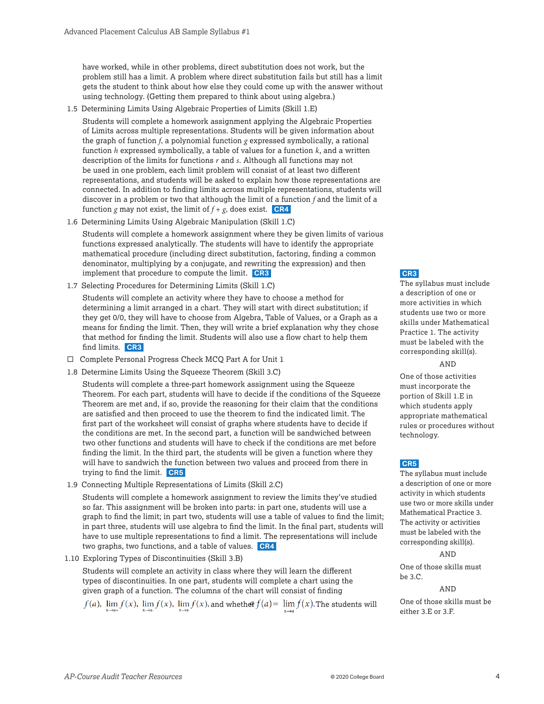<span id="page-3-0"></span>have worked, while in other problems, direct substitution does not work, but the problem still has a limit. A problem where direct substitution fails but still has a limit gets the student to think about how else they could come up with the answer without using technology. (Getting them prepared to think about using algebra.)

1.5 Determining Limits Using Algebraic Properties of Limits (Skill 1.E)

Students will complete a homework assignment applying the Algebraic Properties of Limits across multiple representations. Students will be given information about the graph of function *f*, a polynomial function *g* expressed symbolically, a rational function *h* expressed symbolically, a table of values for a function *k*, and a written description of the limits for functions *r* and *s*. Although all functions may not be used in one problem, each limit problem will consist of at least two different representations, and students will be asked to explain how those representations are connected. In addition to finding limits across multiple representations, students will discover in a problem or two that although the limit of a function *f* and the limit of a function *g* may not exist, the limit of  $f + g$ , does exist. **CR4** 

1.6 Determining Limits Using Algebraic Manipulation (Skill 1.C)

Students will complete a homework assignment where they be given limits of various functions expressed analytically. The students will have to identify the appropriate mathematical procedure (including direct substitution, factoring, finding a common denominator, multiplying by a conjugate, and rewriting the expression) and then implement that procedure to compute the limit. **CR3**

1.7 Selecting Procedures for Determining Limits (Skill 1.C)

Students will complete an activity where they have to choose a method for determining a limit arranged in a chart. They will start with direct substitution; if they get 0/0, they will have to choose from Algebra, Table of Values, or a Graph as a means for finding the limit. Then, they will write a brief explanation why they chose that method for finding the limit. Students will also use a flow chart to help them find limits. **CR3**

- $\square$  Complete Personal Progress Check MCQ Part A for Unit 1
- 1.8 Determine Limits Using the Squeeze Theorem (Skill 3.C)

Students will complete a three-part homework assignment using the Squeeze Theorem. For each part, students will have to decide if the conditions of the Squeeze Theorem are met and, if so, provide the reasoning for their claim that the conditions are satisfied and then proceed to use the theorem to find the indicated limit. The first part of the worksheet will consist of graphs where students have to decide if the conditions are met. In the second part, a function will be sandwiched between two other functions and students will have to check if the conditions are met before finding the limit. In the third part, the students will be given a function where they will have to sandwich the function between two values and proceed from there in trying to find the limit. **CR5**

1.9 Connecting Multiple Representations of Limits (Skill 2.C)

Students will complete a homework assignment to review the limits they've studied so far. This assignment will be broken into parts: in part one, students will use a graph to find the limit; in part two, students will use a table of values to find the limit; in part three, students will use algebra to find the limit. In the final part, students will have to use multiple representations to find a limit. The representations will include two graphs, two functions, and a table of values. **CR4**

1.10 Exploring Types of Discontinuities (Skill 3.B)

Students will complete an activity in class where they will learn the different types of discontinuities. In one part, students will complete a chart using the given graph of a function. The columns of the chart will consist of finding

 $\lim_{x\to a^-} f(x)$ ,  $\lim_{x\to a} f(x)$ , and whether  $f(a) = \lim_{x\to a} f(x)$ . The students will

#### **CR3**

The syllabus must include a description of one or more activities in which students use two or more skills under Mathematical Practice 1. The activity must be labeled with the corresponding skill(s).

#### AND

One of those activities must incorporate the portion of Skill 1.E in which students apply appropriate mathematical rules or procedures without technology.

#### **CR5**

The syllabus must include a description of one or more activity in which students use two or more skills under Mathematical Practice 3. The activity or activities must be labeled with the corresponding skill(s).

#### AND

One of those skills must be 3.C.

#### AND

One of those skills must be either 3.E or 3.F.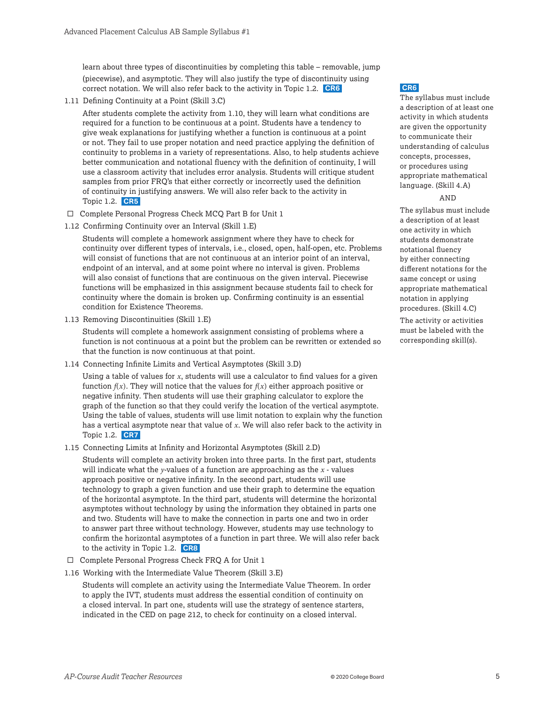<span id="page-4-0"></span>learn about three types of discontinuities by completing this table – removable, jump (piecewise), and asymptotic. They will also justify the type of discontinuity using correct notation. We will also refer back to the activity in Topic 1.2. **CR6**

1.11 Defining Continuity at a Point (Skill 3.C)

After students complete the activity from 1.10, they will learn what conditions are required for a function to be continuous at a point. Students have a tendency to give weak explanations for justifying whether a function is continuous at a point or not. They fail to use proper notation and need practice applying the definition of continuity to problems in a variety of representations. Also, to help students achieve better communication and notational fluency with the definition of continuity, I will use a classroom activity that includes error analysis. Students will critique student samples from prior FRQ's that either correctly or incorrectly used the definition of continuity in justifying answers. We will also refer back to the activity in Topic 1.2. **CR5**

- $\Box$  Complete Personal Progress Check MCQ Part B for Unit 1
- 1.12 Confirming Continuity over an Interval (Skill 1.E)

Students will complete a homework assignment where they have to check for continuity over different types of intervals, i.e., closed, open, half-open, etc. Problems will consist of functions that are not continuous at an interior point of an interval, endpoint of an interval, and at some point where no interval is given. Problems will also consist of functions that are continuous on the given interval. Piecewise functions will be emphasized in this assignment because students fail to check for continuity where the domain is broken up. Confirming continuity is an essential condition for Existence Theorems.

1.13 Removing Discontinuities (Skill 1.E)

Students will complete a homework assignment consisting of problems where a function is not continuous at a point but the problem can be rewritten or extended so that the function is now continuous at that point.

1.14 Connecting Infinite Limits and Vertical Asymptotes (Skill 3.D)

Using a table of values for *x*, students will use a calculator to find values for a given function  $f(x)$ . They will notice that the values for  $f(x)$  either approach positive or negative infinity. Then students will use their graphing calculator to explore the graph of the function so that they could verify the location of the vertical asymptote. Using the table of values, students will use limit notation to explain why the function has a vertical asymptote near that value of *x*. We will also refer back to the activity in Topic 1.2. **CR7**

1.15 Connecting Limits at Infinity and Horizontal Asymptotes (Skill 2.D)

Students will complete an activity broken into three parts. In the first part, students will indicate what the *y*-values of a function are approaching as the *x* - values approach positive or negative infinity. In the second part, students will use technology to graph a given function and use their graph to determine the equation of the horizontal asymptote. In the third part, students will determine the horizontal asymptotes without technology by using the information they obtained in parts one and two. Students will have to make the connection in parts one and two in order to answer part three without technology. However, students may use technology to confirm the horizontal asymptotes of a function in part three. We will also refer back to the activity in Topic 1.2. **CR8**

- $\Box$  Complete Personal Progress Check FRQ A for Unit 1
- 1.16 Working with the Intermediate Value Theorem (Skill 3.E)

Students will complete an activity using the Intermediate Value Theorem. In order to apply the IVT, students must address the essential condition of continuity on a closed interval. In part one, students will use the strategy of sentence starters, indicated in the CED on page 212, to check for continuity on a closed interval.

#### **CR6**

The syllabus must include a description of at least one activity in which students are given the opportunity to communicate their understanding of calculus concepts, processes, or procedures using appropriate mathematical language. (Skill 4.A)

#### AND

The syllabus must include a description of at least one activity in which students demonstrate notational fluency by either connecting different notations for the same concept or using appropriate mathematical notation in applying procedures. (Skill 4.C)

The activity or activities must be labeled with the corresponding skill(s).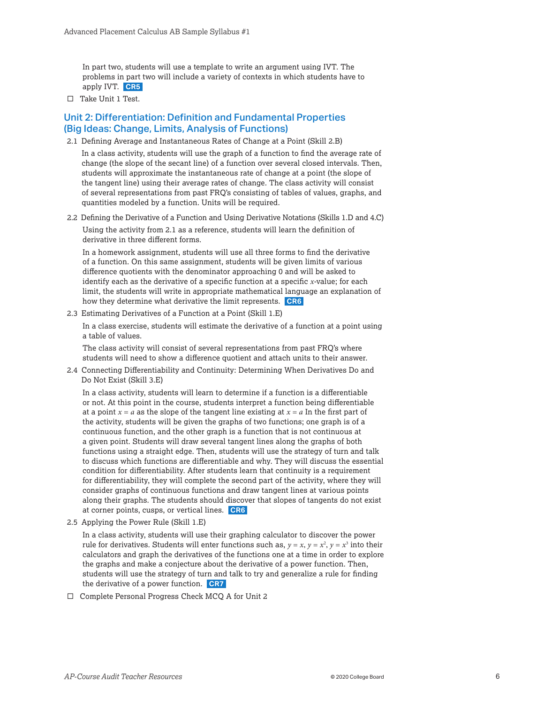In part two, students will use a template to write an argument using IVT. The problems in part two will include a variety of contexts in which students have to apply IVT. **CR5**

 $\Box$  Take Unit 1 Test.

#### Unit 2: Differentiation: Definition and Fundamental Properties (Big Ideas: Change, Limits, Analysis of Functions)

2.1 Defining Average and Instantaneous Rates of Change at a Point (Skill 2.B)

In a class activity, students will use the graph of a function to find the average rate of change (the slope of the secant line) of a function over several closed intervals. Then, students will approximate the instantaneous rate of change at a point (the slope of the tangent line) using their average rates of change. The class activity will consist of several representations from past FRQ's consisting of tables of values, graphs, and quantities modeled by a function. Units will be required.

2.2 Defining the Derivative of a Function and Using Derivative Notations (Skills 1.D and 4.C)

Using the activity from 2.1 as a reference, students will learn the definition of derivative in three different forms.

In a homework assignment, students will use all three forms to find the derivative of a function. On this same assignment, students will be given limits of various difference quotients with the denominator approaching 0 and will be asked to identify each as the derivative of a specific function at a specific *x*-value; for each limit, the students will write in appropriate mathematical language an explanation of how they determine what derivative the limit represents. **CR6**

2.3 Estimating Derivatives of a Function at a Point (Skill 1.E)

In a class exercise, students will estimate the derivative of a function at a point using a table of values.

The class activity will consist of several representations from past FRQ's where students will need to show a difference quotient and attach units to their answer.

2.4 Connecting Differentiability and Continuity: Determining When Derivatives Do and Do Not Exist (Skill 3.E)

In a class activity, students will learn to determine if a function is a differentiable or not. At this point in the course, students interpret a function being differentiable at a point  $x = a$  as the slope of the tangent line existing at  $x = a$  In the first part of the activity, students will be given the graphs of two functions; one graph is of a continuous function, and the other graph is a function that is not continuous at a given point. Students will draw several tangent lines along the graphs of both functions using a straight edge. Then, students will use the strategy of turn and talk to discuss which functions are differentiable and why. They will discuss the essential condition for differentiability. After students learn that continuity is a requirement for differentiability, they will complete the second part of the activity, where they will consider graphs of continuous functions and draw tangent lines at various points along their graphs. The students should discover that slopes of tangents do not exist at corner points, cusps, or vertical lines. **CR6**

2.5 Applying the Power Rule (Skill 1.E)

In a class activity, students will use their graphing calculator to discover the power rule for derivatives. Students will enter functions such as,  $y = x$ ,  $y = x^2$ ,  $y = x^3$  into their calculators and graph the derivatives of the functions one at a time in order to explore the graphs and make a conjecture about the derivative of a power function. Then, students will use the strategy of turn and talk to try and generalize a rule for finding the derivative of a power function. **CR7**

 $\Box$  Complete Personal Progress Check MCQ A for Unit 2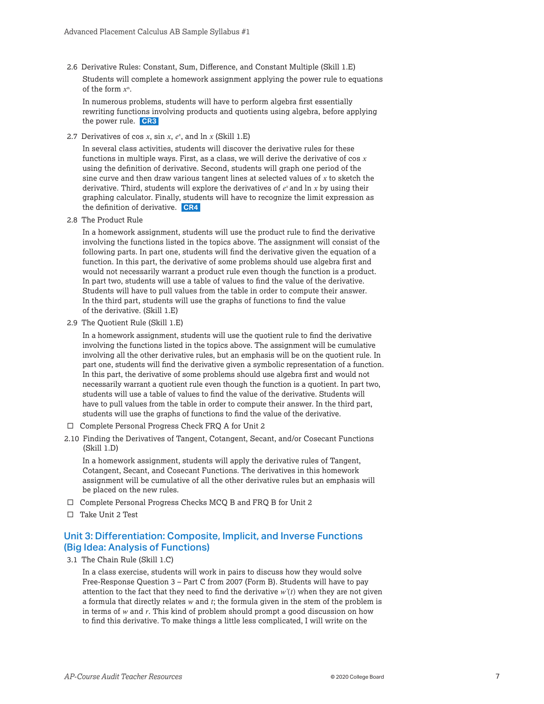2.6 Derivative Rules: Constant, Sum, Difference, and Constant Multiple (Skill 1.E) Students will complete a homework assignment applying the power rule to equations of the form *x*<sup>n</sup> .

In numerous problems, students will have to perform algebra first essentially rewriting functions involving products and quotients using algebra, before applying the power rule. **CR3**

2.7 Derivatives of cos *x*, sin *x*, *ex* , and ln *x* (Skill 1.E)

In several class activities, students will discover the derivative rules for these functions in multiple ways. First, as a class, we will derive the derivative of cos *x* using the definition of derivative. Second, students will graph one period of the sine curve and then draw various tangent lines at selected values of *x* to sketch the derivative. Third, students will explore the derivatives of *ex* and ln *x* by using their graphing calculator. Finally, students will have to recognize the limit expression as the definition of derivative. **CR4**

2.8 The Product Rule

In a homework assignment, students will use the product rule to find the derivative involving the functions listed in the topics above. The assignment will consist of the following parts. In part one, students will find the derivative given the equation of a function. In this part, the derivative of some problems should use algebra first and would not necessarily warrant a product rule even though the function is a product. In part two, students will use a table of values to find the value of the derivative. Students will have to pull values from the table in order to compute their answer. In the third part, students will use the graphs of functions to find the value of the derivative. (Skill 1.E)

2.9 The Quotient Rule (Skill 1.E)

In a homework assignment, students will use the quotient rule to find the derivative involving the functions listed in the topics above. The assignment will be cumulative involving all the other derivative rules, but an emphasis will be on the quotient rule. In part one, students will find the derivative given a symbolic representation of a function. In this part, the derivative of some problems should use algebra first and would not necessarily warrant a quotient rule even though the function is a quotient. In part two, students will use a table of values to find the value of the derivative. Students will have to pull values from the table in order to compute their answer. In the third part, students will use the graphs of functions to find the value of the derivative.

- $\Box$  Complete Personal Progress Check FRQ A for Unit 2
- 2.10 Finding the Derivatives of Tangent, Cotangent, Secant, and/or Cosecant Functions  $(Skill 1.D)$

In a homework assignment, students will apply the derivative rules of Tangent, Cotangent, Secant, and Cosecant Functions. The derivatives in this homework assignment will be cumulative of all the other derivative rules but an emphasis will be placed on the new rules.

- $\square$  Complete Personal Progress Checks MCQ B and FRQ B for Unit 2
- $\square$  Take Unit 2 Test

#### Unit 3: Differentiation: Composite, Implicit, and Inverse Functions (Big Idea: Analysis of Functions)

3.1 The Chain Rule (Skill 1.C)

In a class exercise, students will work in pairs to discuss how they would solve Free-Response Question 3 – Part C from 2007 (Form B). Students will have to pay attention to the fact that they need to find the derivative  $w'(t)$  when they are not given a formula that directly relates *w* and *t*; the formula given in the stem of the problem is in terms of *w* and *r*. This kind of problem should prompt a good discussion on how to find this derivative. To make things a little less complicated, I will write on the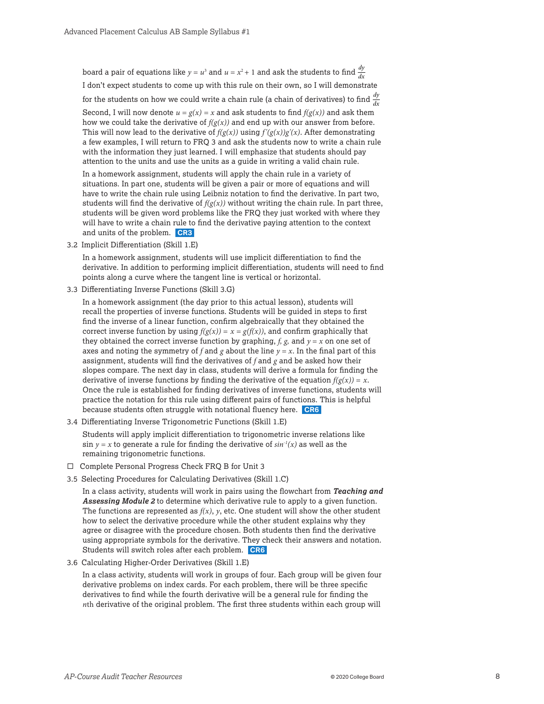board a pair of equations like  $y = u^3$  and  $u = x^2 + 1$  and ask the students to find  $\frac{dy}{dx}$ I don't expect students to come up with this rule on their own, so I will demonstrate for the students on how we could write a chain rule (a chain of derivatives) to find  $\frac{dy}{dx}$ Second, I will now denote  $u = g(x) = x$  and ask students to find  $f(g(x))$  and ask them how we could take the derivative of  $f(g(x))$  and end up with our answer from before. This will now lead to the derivative of  $f(g(x))$  using  $f'(g(x))g'(x)$ . After demonstrating a few examples, I will return to FRQ 3 and ask the students now to write a chain rule with the information they just learned. I will emphasize that students should pay attention to the units and use the units as a guide in writing a valid chain rule.

In a homework assignment, students will apply the chain rule in a variety of situations. In part one, students will be given a pair or more of equations and will have to write the chain rule using Leibniz notation to find the derivative. In part two, students will find the derivative of  $f(g(x))$  without writing the chain rule. In part three, students will be given word problems like the FRQ they just worked with where they will have to write a chain rule to find the derivative paying attention to the context and units of the problem. **CR3**

3.2 Implicit Differentiation (Skill 1.E)

In a homework assignment, students will use implicit differentiation to find the derivative. In addition to performing implicit differentiation, students will need to find points along a curve where the tangent line is vertical or horizontal.

3.3 Differentiating Inverse Functions (Skill 3.G)

In a homework assignment (the day prior to this actual lesson), students will recall the properties of inverse functions. Students will be guided in steps to first find the inverse of a linear function, confirm algebraically that they obtained the correct inverse function by using  $f(g(x)) = x = g(f(x))$ , and confirm graphically that they obtained the correct inverse function by graphing,  $f$ ,  $g$ , and  $y = x$  on one set of axes and noting the symmetry of *f* and *g* about the line  $y = x$ . In the final part of this assignment, students will find the derivatives of *f* and *g* and be asked how their slopes compare. The next day in class, students will derive a formula for finding the derivative of inverse functions by finding the derivative of the equation  $f(g(x)) = x$ . Once the rule is established for finding derivatives of inverse functions, students will practice the notation for this rule using different pairs of functions. This is helpful because students often struggle with notational fluency here. **CR6**

3.4 Differentiating Inverse Trigonometric Functions (Skill 1.E)

Students will apply implicit differentiation to trigonometric inverse relations like sin  $y = x$  to generate a rule for finding the derivative of  $sin^{-1}(x)$  as well as the remaining trigonometric functions.

- $\Box$  Complete Personal Progress Check FRQ B for Unit 3
- 3.5 Selecting Procedures for Calculating Derivatives (Skill 1.C)

In a class activity, students will work in pairs using the flowchart from *Teaching and Assessing Module 2* to determine which derivative rule to apply to a given function. The functions are represented as  $f(x)$ ,  $y$ , etc. One student will show the other student how to select the derivative procedure while the other student explains why they agree or disagree with the procedure chosen. Both students then find the derivative using appropriate symbols for the derivative. They check their answers and notation. Students will switch roles after each problem. **CR6**

3.6 Calculating Higher-Order Derivatives (Skill 1.E)

In a class activity, students will work in groups of four. Each group will be given four derivative problems on index cards. For each problem, there will be three specific derivatives to find while the fourth derivative will be a general rule for finding the *n*th derivative of the original problem. The first three students within each group will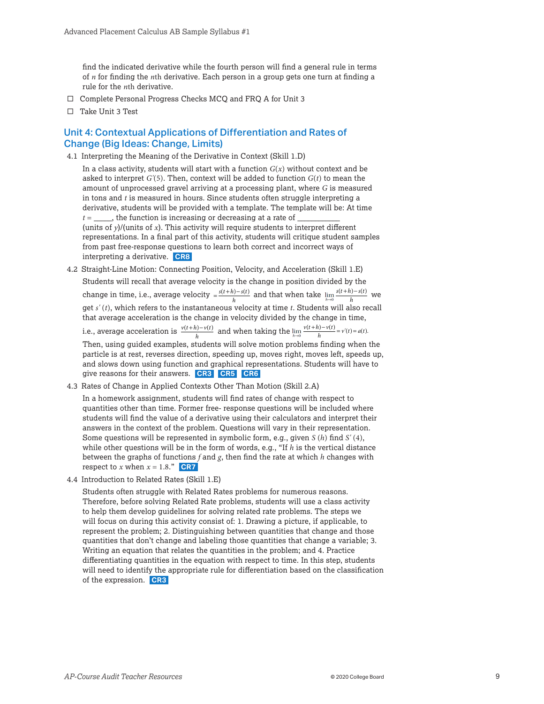find the indicated derivative while the fourth person will find a general rule in terms of *n* for finding the *n*th derivative. Each person in a group gets one turn at finding a rule for the *n*th derivative.

- $\square$  Complete Personal Progress Checks MCQ and FRQ A for Unit 3
- □ Take Unit 3 Test

#### Unit 4: Contextual Applications of Differentiation and Rates of Change (Big Ideas: Change, Limits)

4.1 Interpreting the Meaning of the Derivative in Context (Skill 1.D)

In a class activity, students will start with a function  $G(x)$  without context and be asked to interpret *G'*(5). Then, context will be added to function *G*(*t*) to mean the amount of unprocessed gravel arriving at a processing plant, where *G* is measured in tons and *t* is measured in hours. Since students often struggle interpreting a derivative, students will be provided with a template. The template will be: At time  $t =$ , the function is increasing or decreasing at a rate of (units of  $y$ )/(units of  $x$ ). This activity will require students to interpret different representations. In a final part of this activity, students will critique student samples from past free-response questions to learn both correct and incorrect ways of interpreting a derivative. **CR8**

4.2 Straight-Line Motion: Connecting Position, Velocity, and Acceleration (Skill 1.E) Students will recall that average velocity is the change in position divided by the change in time, i.e., average velocity  $= \frac{s(t+h)-s(t)}{h}$  and that when take  $\lim_{h\to 0} \frac{s(t+h)-s(t)}{h}$  we get *s'* (*t*), which refers to the instantaneous velocity at time *t*. Students will also recall that average acceleration is the change in velocity divided by the change in time, i.e., average acceleration is  $\frac{v(t+h)-v(t)}{h}$  and when taking the  $\lim_{h\to 0} \frac{v(t+h)-v(t)}{h} = v'(t) = a(t)$ .

Then, using guided examples, students will solve motion problems finding when the particle is at rest, reverses direction, speeding up, moves right, moves left, speeds up, and slows down using function and graphical representations. Students will have to give reasons for their answers. **CR3 CR5 CR6**

4.3 Rates of Change in Applied Contexts Other Than Motion (Skill 2.A)

In a homework assignment, students will find rates of change with respect to quantities other than time. Former free- response questions will be included where students will find the value of a derivative using their calculators and interpret their answers in the context of the problem. Questions will vary in their representation. Some questions will be represented in symbolic form, e.g., given *S* (*h*) find *S'* (4), while other questions will be in the form of words, e.g., "If *h* is the vertical distance between the graphs of functions *f* and *g*, then find the rate at which *h* changes with respect to *x* when  $x = 1.8$ ." **CR7** 

4.4 Introduction to Related Rates (Skill 1.E)

Students often struggle with Related Rates problems for numerous reasons. Therefore, before solving Related Rate problems, students will use a class activity to help them develop guidelines for solving related rate problems. The steps we will focus on during this activity consist of: 1. Drawing a picture, if applicable, to represent the problem; 2. Distinguishing between quantities that change and those quantities that don't change and labeling those quantities that change a variable; 3. Writing an equation that relates the quantities in the problem; and 4. Practice differentiating quantities in the equation with respect to time. In this step, students will need to identify the appropriate rule for differentiation based on the classification of the expression. **CR3**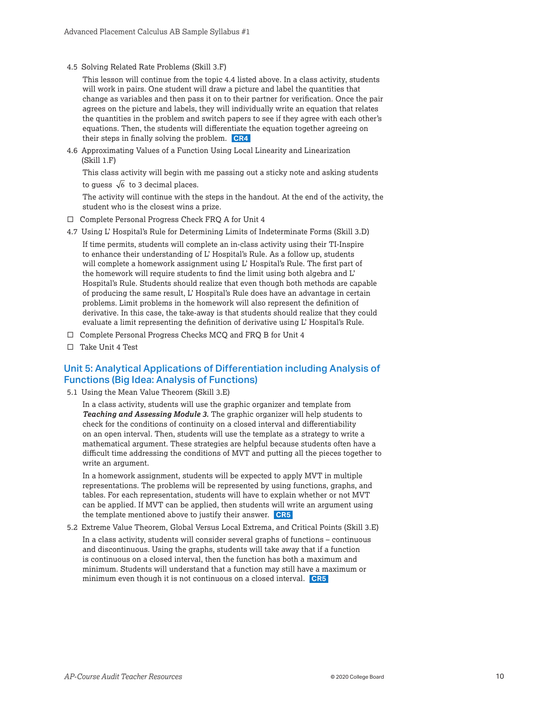4.5 Solving Related Rate Problems (Skill 3.F)

This lesson will continue from the topic 4.4 listed above. In a class activity, students will work in pairs. One student will draw a picture and label the quantities that change as variables and then pass it on to their partner for verification. Once the pair agrees on the picture and labels, they will individually write an equation that relates the quantities in the problem and switch papers to see if they agree with each other's equations. Then, the students will differentiate the equation together agreeing on their steps in finally solving the problem. **CR4**

4.6 Approximating Values of a Function Using Local Linearity and Linearization  $(Skill 1.F)$ 

This class activity will begin with me passing out a sticky note and asking students to guess  $\sqrt{6}$  to 3 decimal places.

The activity will continue with the steps in the handout. At the end of the activity, the student who is the closest wins a prize.

- $\Box$  Complete Personal Progress Check FRQ A for Unit 4
- 4.7 Using L' Hospital's Rule for Determining Limits of Indeterminate Forms (Skill 3.D)

If time permits, students will complete an in-class activity using their TI-Inspire to enhance their understanding of L' Hospital's Rule. As a follow up, students will complete a homework assignment using L' Hospital's Rule. The first part of the homework will require students to find the limit using both algebra and L' Hospital's Rule. Students should realize that even though both methods are capable of producing the same result, L' Hospital's Rule does have an advantage in certain problems. Limit problems in the homework will also represent the definition of derivative. In this case, the take-away is that students should realize that they could evaluate a limit representing the definition of derivative using L' Hospital's Rule.

- $\Box$  Complete Personal Progress Checks MCQ and FRQ B for Unit 4
- $\square$  Take Unit 4 Test

#### Unit 5: Analytical Applications of Differentiation including Analysis of Functions (Big Idea: Analysis of Functions)

5.1 Using the Mean Value Theorem (Skill 3.E)

In a class activity, students will use the graphic organizer and template from *Teaching and Assessing Module 3.* The graphic organizer will help students to check for the conditions of continuity on a closed interval and differentiability on an open interval. Then, students will use the template as a strategy to write a mathematical argument. These strategies are helpful because students often have a difficult time addressing the conditions of MVT and putting all the pieces together to write an argument.

In a homework assignment, students will be expected to apply MVT in multiple representations. The problems will be represented by using functions, graphs, and tables. For each representation, students will have to explain whether or not MVT can be applied. If MVT can be applied, then students will write an argument using the template mentioned above to justify their answer. **CR5**

5.2 Extreme Value Theorem, Global Versus Local Extrema, and Critical Points (Skill 3.E)

In a class activity, students will consider several graphs of functions – continuous and discontinuous. Using the graphs, students will take away that if a function is continuous on a closed interval, then the function has both a maximum and minimum. Students will understand that a function may still have a maximum or minimum even though it is not continuous on a closed interval. **CR5**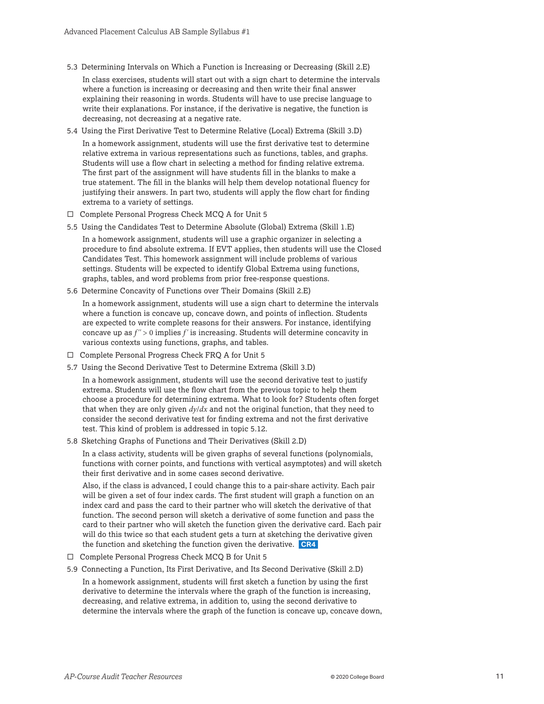- 5.3 Determining Intervals on Which a Function is Increasing or Decreasing (Skill 2.E) In class exercises, students will start out with a sign chart to determine the intervals where a function is increasing or decreasing and then write their final answer explaining their reasoning in words. Students will have to use precise language to write their explanations. For instance, if the derivative is negative, the function is decreasing, not decreasing at a negative rate.
- 5.4 Using the First Derivative Test to Determine Relative (Local) Extrema (Skill 3.D) In a homework assignment, students will use the first derivative test to determine relative extrema in various representations such as functions, tables, and graphs. Students will use a flow chart in selecting a method for finding relative extrema. The first part of the assignment will have students fill in the blanks to make a true statement. The fill in the blanks will help them develop notational fluency for justifying their answers. In part two, students will apply the flow chart for finding extrema to a variety of settings.
- $\square$  Complete Personal Progress Check MCQ A for Unit 5
- 5.5 Using the Candidates Test to Determine Absolute (Global) Extrema (Skill 1.E) In a homework assignment, students will use a graphic organizer in selecting a procedure to find absolute extrema. If EVT applies, then students will use the Closed Candidates Test. This homework assignment will include problems of various settings. Students will be expected to identify Global Extrema using functions, graphs, tables, and word problems from prior free-response questions.
- 5.6 Determine Concavity of Functions over Their Domains (Skill 2.E)

In a homework assignment, students will use a sign chart to determine the intervals where a function is concave up, concave down, and points of inflection. Students are expected to write complete reasons for their answers. For instance, identifying concave up as *f''* > 0 implies *f '* is increasing. Students will determine concavity in various contexts using functions, graphs, and tables.

- $\square$  Complete Personal Progress Check FRQ A for Unit 5
- 5.7 Using the Second Derivative Test to Determine Extrema (Skill 3.D)

In a homework assignment, students will use the second derivative test to justify extrema. Students will use the flow chart from the previous topic to help them choose a procedure for determining extrema. What to look for? Students often forget that when they are only given *dy*/*dx* and not the original function, that they need to consider the second derivative test for finding extrema and not the first derivative test. This kind of problem is addressed in topic 5.12.

5.8 Sketching Graphs of Functions and Their Derivatives (Skill 2.D)

In a class activity, students will be given graphs of several functions (polynomials, functions with corner points, and functions with vertical asymptotes) and will sketch their first derivative and in some cases second derivative.

Also, if the class is advanced, I could change this to a pair-share activity. Each pair will be given a set of four index cards. The first student will graph a function on an index card and pass the card to their partner who will sketch the derivative of that function. The second person will sketch a derivative of some function and pass the card to their partner who will sketch the function given the derivative card. Each pair will do this twice so that each student gets a turn at sketching the derivative given the function and sketching the function given the derivative. **CR4**

- $\square$  Complete Personal Progress Check MCQ B for Unit 5
- 5.9 Connecting a Function, Its First Derivative, and Its Second Derivative (Skill 2.D)

In a homework assignment, students will first sketch a function by using the first derivative to determine the intervals where the graph of the function is increasing, decreasing, and relative extrema, in addition to, using the second derivative to determine the intervals where the graph of the function is concave up, concave down,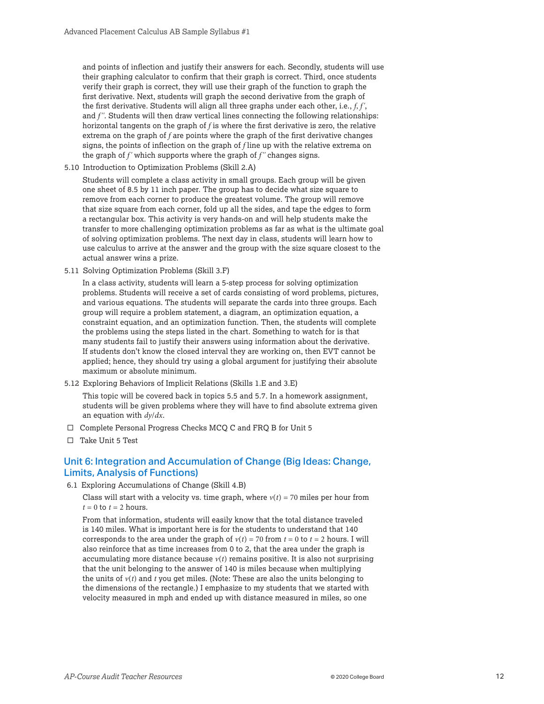and points of inflection and justify their answers for each. Secondly, students will use their graphing calculator to confirm that their graph is correct. Third, once students verify their graph is correct, they will use their graph of the function to graph the first derivative. Next, students will graph the second derivative from the graph of the first derivative. Students will align all three graphs under each other, i.e., *f*, *f '*, and *f''*. Students will then draw vertical lines connecting the following relationships: horizontal tangents on the graph of *f* is where the first derivative is zero, the relative extrema on the graph of *f* are points where the graph of the first derivative changes signs, the points of inflection on the graph of *f* line up with the relative extrema on the graph of *f '* which supports where the graph of *f''* changes signs.

5.10 Introduction to Optimization Problems (Skill 2.A)

Students will complete a class activity in small groups. Each group will be given one sheet of 8.5 by 11 inch paper. The group has to decide what size square to remove from each corner to produce the greatest volume. The group will remove that size square from each corner, fold up all the sides, and tape the edges to form a rectangular box. This activity is very hands-on and will help students make the transfer to more challenging optimization problems as far as what is the ultimate goal of solving optimization problems. The next day in class, students will learn how to use calculus to arrive at the answer and the group with the size square closest to the actual answer wins a prize.

5.11 Solving Optimization Problems (Skill 3.F)

In a class activity, students will learn a 5-step process for solving optimization problems. Students will receive a set of cards consisting of word problems, pictures, and various equations. The students will separate the cards into three groups. Each group will require a problem statement, a diagram, an optimization equation, a constraint equation, and an optimization function. Then, the students will complete the problems using the steps listed in the chart. Something to watch for is that many students fail to justify their answers using information about the derivative. If students don't know the closed interval they are working on, then EVT cannot be applied; hence, they should try using a global argument for justifying their absolute maximum or absolute minimum.

5.12 Exploring Behaviors of Implicit Relations (Skills 1.E and 3.E)

This topic will be covered back in topics 5.5 and 5.7. In a homework assignment, students will be given problems where they will have to find absolute extrema given an equation with *dy*/*dx*.

- $\square$  Complete Personal Progress Checks MCQ C and FRQ B for Unit 5
- $\square$  Take Unit 5 Test

#### Unit 6: Integration and Accumulation of Change (Big Ideas: Change, Limits, Analysis of Functions)

6.1 Exploring Accumulations of Change (Skill 4.B)

Class will start with a velocity vs. time graph, where  $v(t) = 70$  miles per hour from  $t = 0$  to  $t = 2$  hours.

From that information, students will easily know that the total distance traveled is 140 miles. What is important here is for the students to understand that 140 corresponds to the area under the graph of  $v(t) = 70$  from  $t = 0$  to  $t = 2$  hours. I will also reinforce that as time increases from 0 to 2, that the area under the graph is accumulating more distance because  $v(t)$  remains positive. It is also not surprising that the unit belonging to the answer of 140 is miles because when multiplying the units of  $v(t)$  and  $t$  you get miles. (Note: These are also the units belonging to the dimensions of the rectangle.) I emphasize to my students that we started with velocity measured in mph and ended up with distance measured in miles, so one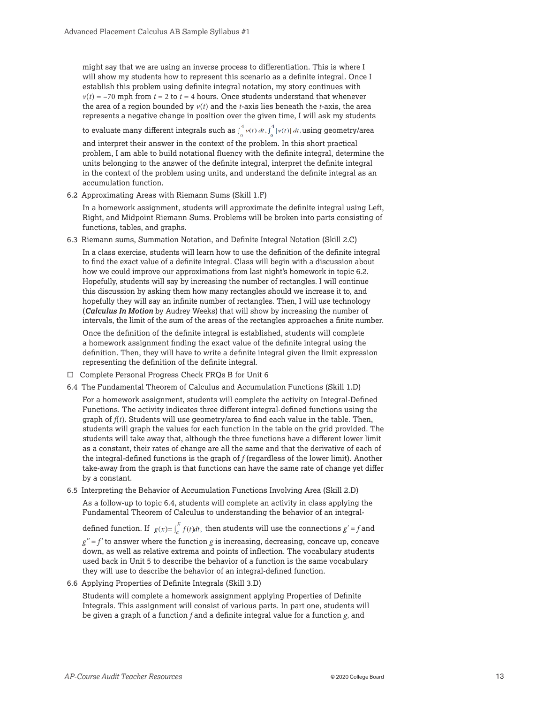might say that we are using an inverse process to differentiation. This is where I will show my students how to represent this scenario as a definite integral. Once I establish this problem using definite integral notation, my story continues with  $v(t) = -70$  mph from  $t = 2$  to  $t = 4$  hours. Once students understand that whenever the area of a region bounded by  $v(t)$  and the *t*-axis lies beneath the *t*-axis, the area represents a negative change in position over the given time, I will ask my students

to evaluate many different integrals such as  $\int_{0}^{4} v(t) dt$ ,  $\int_{0}^{4} |v(t)| dt$ , using geometry/area

and interpret their answer in the context of the problem. In this short practical problem, I am able to build notational fluency with the definite integral, determine the units belonging to the answer of the definite integral, interpret the definite integral in the context of the problem using units, and understand the definite integral as an accumulation function.

6.2 Approximating Areas with Riemann Sums (Skill 1.F)

In a homework assignment, students will approximate the definite integral using Left, Right, and Midpoint Riemann Sums. Problems will be broken into parts consisting of functions, tables, and graphs.

6.3 Riemann sums, Summation Notation, and Definite Integral Notation (Skill 2.C)

In a class exercise, students will learn how to use the definition of the definite integral to find the exact value of a definite integral. Class will begin with a discussion about how we could improve our approximations from last night's homework in topic 6.2. Hopefully, students will say by increasing the number of rectangles. I will continue this discussion by asking them how many rectangles should we increase it to, and hopefully they will say an infinite number of rectangles. Then, I will use technology (*Calculus In Motion* by Audrey Weeks) that will show by increasing the number of intervals, the limit of the sum of the areas of the rectangles approaches a finite number.

Once the definition of the definite integral is established, students will complete a homework assignment finding the exact value of the definite integral using the definition. Then, they will have to write a definite integral given the limit expression representing the definition of the definite integral.

- $\Box$  Complete Personal Progress Check FRQs B for Unit 6
- 6.4 The Fundamental Theorem of Calculus and Accumulation Functions (Skill 1.D)

For a homework assignment, students will complete the activity on Integral-Defined Functions. The activity indicates three different integral-defined functions using the graph of  $f(t)$ . Students will use geometry/area to find each value in the table. Then, students will graph the values for each function in the table on the grid provided. The students will take away that, although the three functions have a different lower limit as a constant, their rates of change are all the same and that the derivative of each of the integral-defined functions is the graph of *f* (regardless of the lower limit). Another take-away from the graph is that functions can have the same rate of change yet differ by a constant.

6.5 Interpreting the Behavior of Accumulation Functions Involving Area (Skill 2.D)

As a follow-up to topic 6.4, students will complete an activity in class applying the Fundamental Theorem of Calculus to understanding the behavior of an integral-

defined function. If  $g(x) = \int_a^x f(t)dt$ , then students will use the connections  $g' = f$  and

 $g'' = f'$  to answer where the function *g* is increasing, decreasing, concave up, concave down, as well as relative extrema and points of inflection. The vocabulary students used back in Unit 5 to describe the behavior of a function is the same vocabulary they will use to describe the behavior of an integral-defined function.

6.6 Applying Properties of Definite Integrals (Skill 3.D)

Students will complete a homework assignment applying Properties of Definite Integrals. This assignment will consist of various parts. In part one, students will be given a graph of a function *f* and a definite integral value for a function *g*, and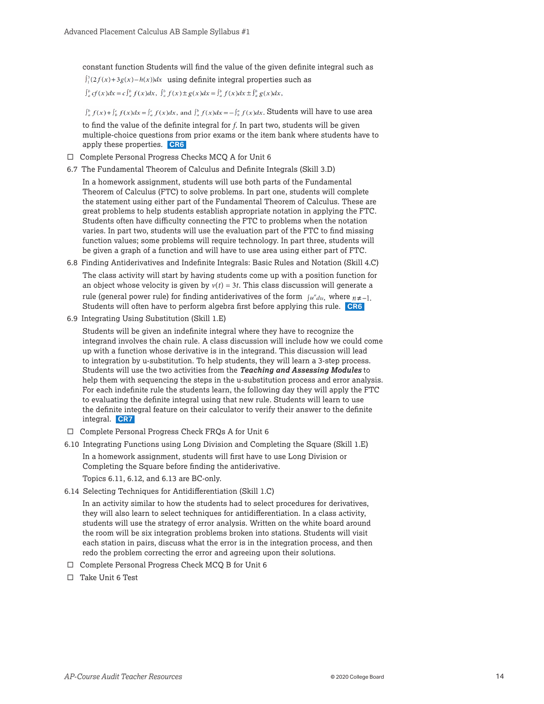constant function Students will find the value of the given definite integral such as  $\int_{1}^{3} (2f(x)+3g(x)-h(x))dx$  using definite integral properties such as

 $\int_a^b cf(x)dx = c \int_a^b f(x)dx$ ,  $\int_a^b f(x) \pm g(x)dx = \int_a^b f(x)dx \pm \int_a^b g(x)dx$ ,

 $\int_a^b f(x) + \int_b^c f(x)dx = \int_a^c f(x)dx$ , and  $\int_a^b f(x)dx = -\int_a^a f(x)dx$ . Students will have to use area

to find the value of the definite integral for *f*. In part two, students will be given multiple-choice questions from prior exams or the item bank where students have to apply these properties. **CR6**

- $\Box$  Complete Personal Progress Checks MCQ A for Unit 6
- 6.7 The Fundamental Theorem of Calculus and Definite Integrals (Skill 3.D)

In a homework assignment, students will use both parts of the Fundamental Theorem of Calculus (FTC) to solve problems. In part one, students will complete the statement using either part of the Fundamental Theorem of Calculus. These are great problems to help students establish appropriate notation in applying the FTC. Students often have difficulty connecting the FTC to problems when the notation varies. In part two, students will use the evaluation part of the FTC to find missing function values; some problems will require technology. In part three, students will be given a graph of a function and will have to use area using either part of FTC.

6.8 Finding Antiderivatives and Indefinite Integrals: Basic Rules and Notation (Skill 4.C)

The class activity will start by having students come up with a position function for an object whose velocity is given by  $v(t) = 3t$ . This class discussion will generate a rule (general power rule) for finding antiderivatives of the form  $\int u^{\mu} du$ , where  $n \neq -1$ . Students will often have to perform algebra first before applying this rule. **CR6**

6.9 Integrating Using Substitution (Skill 1.E)

Students will be given an indefinite integral where they have to recognize the integrand involves the chain rule. A class discussion will include how we could come up with a function whose derivative is in the integrand. This discussion will lead to integration by u-substitution. To help students, they will learn a 3-step process. Students will use the two activities from the *Teaching and Assessing Modules* to help them with sequencing the steps in the u-substitution process and error analysis. For each indefinite rule the students learn, the following day they will apply the FTC to evaluating the definite integral using that new rule. Students will learn to use the definite integral feature on their calculator to verify their answer to the definite integral. **CR7**

- $\Box$  Complete Personal Progress Check FRQs A for Unit 6
- 6.10 Integrating Functions using Long Division and Completing the Square (Skill 1.E)

In a homework assignment, students will first have to use Long Division or Completing the Square before finding the antiderivative.

Topics 6.11, 6.12, and 6.13 are BC-only.

6.14 Selecting Techniques for Antidifferentiation (Skill 1.C)

In an activity similar to how the students had to select procedures for derivatives, they will also learn to select techniques for antidifferentiation. In a class activity, students will use the strategy of error analysis. Written on the white board around the room will be six integration problems broken into stations. Students will visit each station in pairs, discuss what the error is in the integration process, and then redo the problem correcting the error and agreeing upon their solutions.

- $\Box$  Complete Personal Progress Check MCQ B for Unit 6
- $\square$  Take Unit 6 Test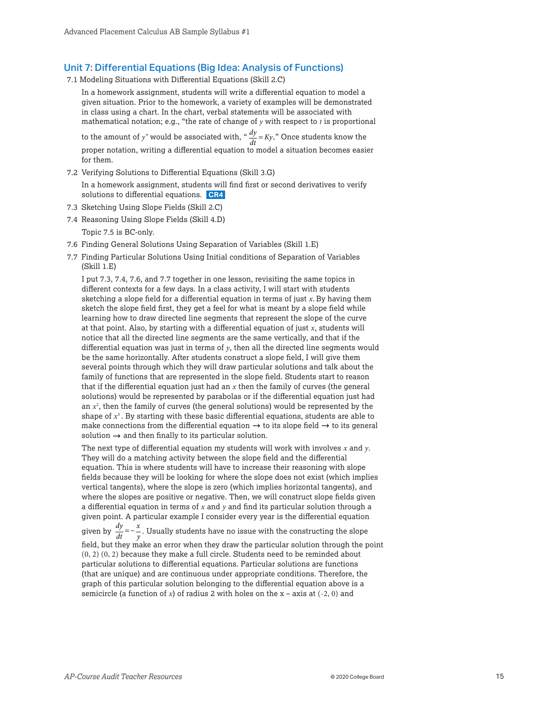#### Unit 7: Differential Equations (Big Idea: Analysis of Functions)

- 7.1 Modeling Situations with Differential Equations (Skill 2.C)
	- In a homework assignment, students will write a differential equation to model a given situation. Prior to the homework, a variety of examples will be demonstrated in class using a chart. In the chart, verbal statements will be associated with mathematical notation; e.g., "the rate of change of *y* with respect to *t* is proportional

to the amount of *y*" would be associated with, "  $\frac{dy}{dt} = Ky$ ." Once students know the proper notation, writing a differential equation to model a situation becomes easier for them.

- 7.2 Verifying Solutions to Differential Equations (Skill 3.G) In a homework assignment, students will find first or second derivatives to verify solutions to differential equations. **CR4**
- 7.3 Sketching Using Slope Fields (Skill 2.C)
- 7.4 Reasoning Using Slope Fields (Skill 4.D)
	- Topic 7.5 is BC-only.
- 7.6 Finding General Solutions Using Separation of Variables (Skill 1.E)
- 7.7 Finding Particular Solutions Using Initial conditions of Separation of Variables  $(Skill 1.E)$

I put 7.3, 7.4, 7.6, and 7.7 together in one lesson, revisiting the same topics in different contexts for a few days. In a class activity, I will start with students sketching a slope field for a differential equation in terms of just *x*. By having them sketch the slope field first, they get a feel for what is meant by a slope field while learning how to draw directed line segments that represent the slope of the curve at that point. Also, by starting with a differential equation of just *x*, students will notice that all the directed line segments are the same vertically, and that if the differential equation was just in terms of *y*, then all the directed line segments would be the same horizontally. After students construct a slope field, I will give them several points through which they will draw particular solutions and talk about the family of functions that are represented in the slope field. Students start to reason that if the differential equation just had an *x* then the family of curves (the general solutions) would be represented by parabolas or if the differential equation just had an *x*<sup>2</sup> , then the family of curves (the general solutions) would be represented by the shape of  $x^3$ . By starting with these basic differential equations, students are able to make connections from the differential equation  $\rightarrow$  to its slope field  $\rightarrow$  to its general solution  $\rightarrow$  and then finally to its particular solution.

The next type of differential equation my students will work with involves *x* and *y*. They will do a matching activity between the slope field and the differential equation. This is where students will have to increase their reasoning with slope fields because they will be looking for where the slope does not exist (which implies vertical tangents), where the slope is zero (which implies horizontal tangents), and where the slopes are positive or negative. Then, we will construct slope fields given a differential equation in terms of *x* and *y* and find its particular solution through a given point. A particular example I consider every year is the differential equation given by *dy dt*  $=-\frac{x}{y}$ . Usually students have no issue with the constructing the slope

field, but they make an error when they draw the particular solution through the point (0, 2) (0, 2) because they make a full circle. Students need to be reminded about particular solutions to differential equations. Particular solutions are functions (that are unique) and are continuous under appropriate conditions. Therefore, the graph of this particular solution belonging to the differential equation above is a semicircle (a function of *x*) of radius 2 with holes on the  $x - axis$  at (-2, 0) and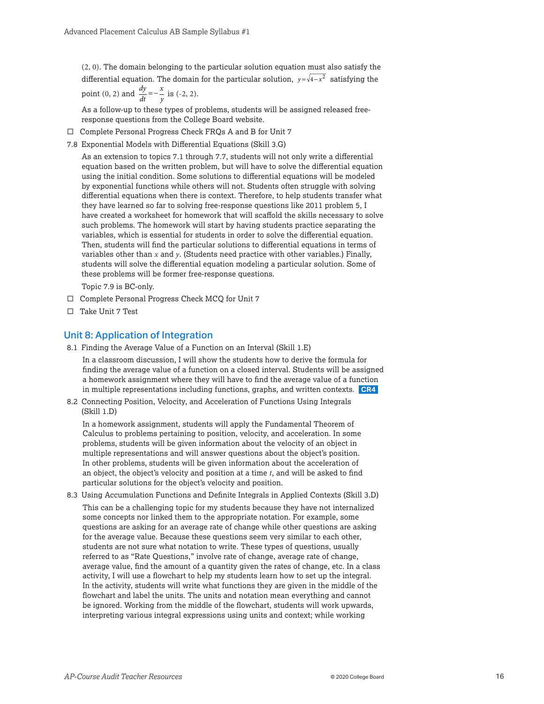(2, 0). The domain belonging to the particular solution equation must also satisfy the differential equation. The domain for the particular solution,  $y = \sqrt{4 - x^2}$  satisfying the *x*

point (0, 2) and 
$$
\frac{dy}{dt} = -\frac{x}{y}
$$
 is (-2, 2).

As a follow-up to these types of problems, students will be assigned released freeresponse questions from the College Board website.

- $\Box$  Complete Personal Progress Check FRQs A and B for Unit 7
- 7.8 Exponential Models with Differential Equations (Skill 3.G)

As an extension to topics 7.1 through 7.7, students will not only write a differential equation based on the written problem, but will have to solve the differential equation using the initial condition. Some solutions to differential equations will be modeled by exponential functions while others will not. Students often struggle with solving differential equations when there is context. Therefore, to help students transfer what they have learned so far to solving free-response questions like 2011 problem 5, I have created a worksheet for homework that will scaffold the skills necessary to solve such problems. The homework will start by having students practice separating the variables, which is essential for students in order to solve the differential equation. Then, students will find the particular solutions to differential equations in terms of variables other than *x* and *y*. (Students need practice with other variables.) Finally, students will solve the differential equation modeling a particular solution. Some of these problems will be former free-response questions.

Topic 7.9 is BC-only.

- $\square$  Complete Personal Progress Check MCQ for Unit 7
- $\Box$  Take Unit 7 Test

#### Unit 8: Application of Integration

8.1 Finding the Average Value of a Function on an Interval (Skill 1.E)

In a classroom discussion, I will show the students how to derive the formula for finding the average value of a function on a closed interval. Students will be assigned a homework assignment where they will have to find the average value of a function in multiple representations including functions, graphs, and written contexts. **CR4**

8.2 Connecting Position, Velocity, and Acceleration of Functions Using Integrals  $(Skill 1.D)$ 

In a homework assignment, students will apply the Fundamental Theorem of Calculus to problems pertaining to position, velocity, and acceleration. In some problems, students will be given information about the velocity of an object in multiple representations and will answer questions about the object's position. In other problems, students will be given information about the acceleration of an object, the object's velocity and position at a time *t*, and will be asked to find particular solutions for the object's velocity and position.

8.3 Using Accumulation Functions and Definite Integrals in Applied Contexts (Skill 3.D) This can be a challenging topic for my students because they have not internalized some concepts nor linked them to the appropriate notation. For example, some questions are asking for an average rate of change while other questions are asking for the average value. Because these questions seem very similar to each other, students are not sure what notation to write. These types of questions, usually referred to as "Rate Questions," involve rate of change, average rate of change, average value, find the amount of a quantity given the rates of change, etc. In a class activity, I will use a flowchart to help my students learn how to set up the integral. In the activity, students will write what functions they are given in the middle of the flowchart and label the units. The units and notation mean everything and cannot be ignored. Working from the middle of the flowchart, students will work upwards, interpreting various integral expressions using units and context; while working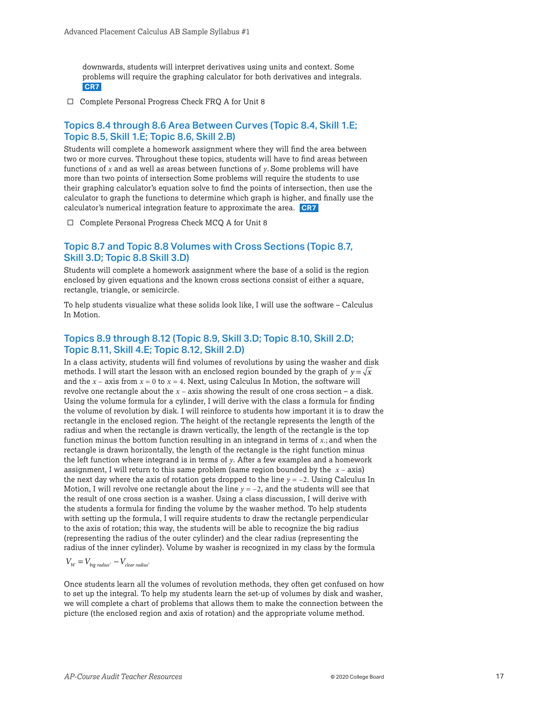downwards, students will interpret derivatives using units and context. Some problems will require the graphing calculator for both derivatives and integrals. **CR7**

 $\Box$  Complete Personal Progress Check FRQ A for Unit 8

#### Topics 8.4 through 8.6 Area Between Curves (Topic 8.4, Skill 1.E; Topic 8.5, Skill 1.E; Topic 8.6, Skill 2.B)

Students will complete a homework assignment where they will find the area between two or more curves. Throughout these topics, students will have to find areas between functions of *x* and as well as areas between functions of *y*. Some problems will have more than two points of intersection Some problems will require the students to use their graphing calculator's equation solve to find the points of intersection, then use the calculator to graph the functions to determine which graph is higher, and finally use the calculator's numerical integration feature to approximate the area. **CR7**

 $\Box$  Complete Personal Progress Check MCQ A for Unit 8

#### Topic 8.7 and Topic 8.8 Volumes with Cross Sections (Topic 8.7, Skill 3.D; Topic 8.8 Skill 3.D)

Students will complete a homework assignment where the base of a solid is the region enclosed by given equations and the known cross sections consist of either a square, rectangle, triangle, or semicircle.

To help students visualize what these solids look like, I will use the software – Calculus In Motion.

#### Topics 8.9 through 8.12 (Topic 8.9, Skill 3.D; Topic 8.10, Skill 2.D; Topic 8.11, Skill 4.E; Topic 8.12, Skill 2.D)

In a class activity, students will find volumes of revolutions by using the washer and disk methods. I will start the lesson with an enclosed region bounded by the graph of  $y = \sqrt{x}$ and the  $x - 2$  axis from  $x = 0$  to  $x = 4$ . Next, using Calculus In Motion, the software will revolve one rectangle about the *x* – axis showing the result of one cross section – a disk. Using the volume formula for a cylinder, I will derive with the class a formula for finding the volume of revolution by disk. I will reinforce to students how important it is to draw the rectangle in the enclosed region. The height of the rectangle represents the length of the radius and when the rectangle is drawn vertically, the length of the rectangle is the top function minus the bottom function resulting in an integrand in terms of *x*.; and when the rectangle is drawn horizontally, the length of the rectangle is the right function minus the left function where integrand is in terms of *y*. After a few examples and a homework assignment, I will return to this same problem (same region bounded by the *x* – axis) the next day where the axis of rotation gets dropped to the line *y* = –2. Using Calculus In Motion, I will revolve one rectangle about the line  $y = -2$ , and the students will see that the result of one cross section is a washer. Using a class discussion, I will derive with the students a formula for finding the volume by the washer method. To help students with setting up the formula, I will require students to draw the rectangle perpendicular to the axis of rotation; this way, the students will be able to recognize the big radius (representing the radius of the outer cylinder) and the clear radius (representing the radius of the inner cylinder). Volume by washer is recognized in my class by the formula

#### $V_W = V_{b i g \ rad i u s^2} - V_{c \$

Once students learn all the volumes of revolution methods, they often get confused on how to set up the integral. To help my students learn the set-up of volumes by disk and washer, we will complete a chart of problems that allows them to make the connection between the picture (the enclosed region and axis of rotation) and the appropriate volume method.